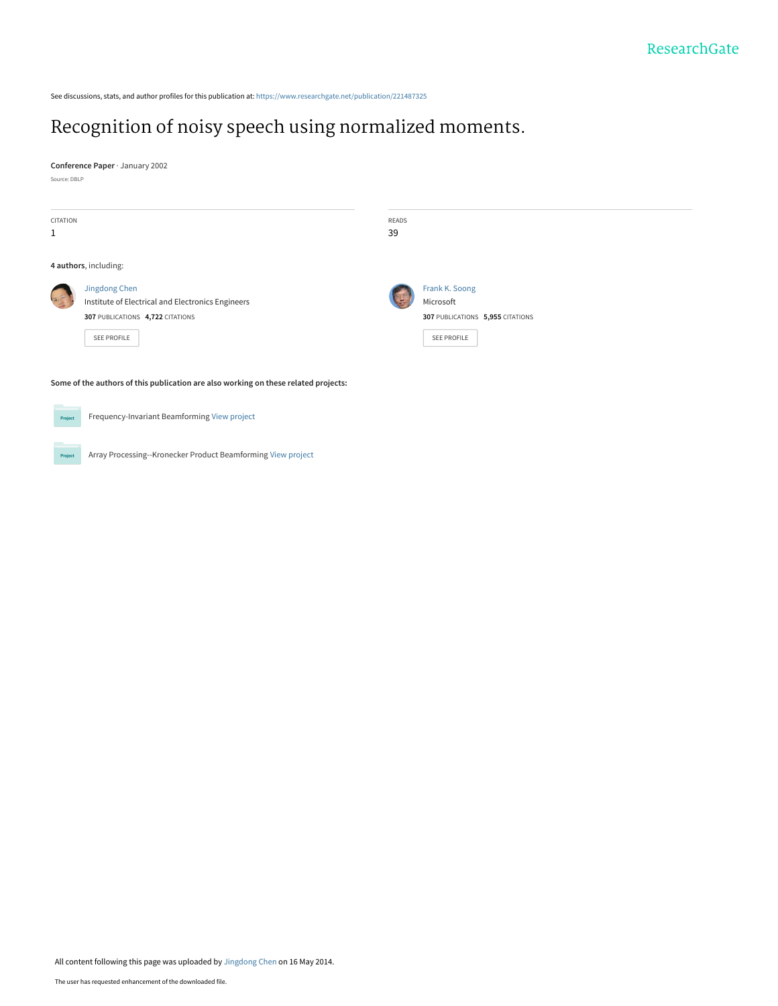See discussions, stats, and author profiles for this publication at: [https://www.researchgate.net/publication/221487325](https://www.researchgate.net/publication/221487325_Recognition_of_noisy_speech_using_normalized_moments?enrichId=rgreq-e2a3016071719c6fc5a01d09bed2aee9-XXX&enrichSource=Y292ZXJQYWdlOzIyMTQ4NzMyNTtBUzo5NzUzMTc5NTA4MzI4MEAxNDAwMjY0ODAxODkz&el=1_x_2&_esc=publicationCoverPdf)

# [Recognition of noisy speech using normalized moments.](https://www.researchgate.net/publication/221487325_Recognition_of_noisy_speech_using_normalized_moments?enrichId=rgreq-e2a3016071719c6fc5a01d09bed2aee9-XXX&enrichSource=Y292ZXJQYWdlOzIyMTQ4NzMyNTtBUzo5NzUzMTc5NTA4MzI4MEAxNDAwMjY0ODAxODkz&el=1_x_3&_esc=publicationCoverPdf)

**Conference Paper** · January 2002

Source: DBLP

| CITATION              |                                                   | READS |                                  |  |  |
|-----------------------|---------------------------------------------------|-------|----------------------------------|--|--|
| $\mathbf{1}$          |                                                   | 39    |                                  |  |  |
|                       |                                                   |       |                                  |  |  |
| 4 authors, including: |                                                   |       |                                  |  |  |
|                       | Jingdong Chen                                     |       | Frank K. Soong                   |  |  |
|                       | Institute of Electrical and Electronics Engineers |       | Microsoft                        |  |  |
|                       | 307 PUBLICATIONS 4,722 CITATIONS                  |       | 307 PUBLICATIONS 5,955 CITATIONS |  |  |
|                       | <b>SEE PROFILE</b>                                |       | <b>SEE PROFILE</b>               |  |  |
|                       |                                                   |       |                                  |  |  |
|                       |                                                   |       |                                  |  |  |

**Some of the authors of this publication are also working on these related projects:**

**Project** 

Frequency-Invariant Beamforming [View project](https://www.researchgate.net/project/Frequency-Invariant-Beamforming-2?enrichId=rgreq-e2a3016071719c6fc5a01d09bed2aee9-XXX&enrichSource=Y292ZXJQYWdlOzIyMTQ4NzMyNTtBUzo5NzUzMTc5NTA4MzI4MEAxNDAwMjY0ODAxODkz&el=1_x_9&_esc=publicationCoverPdf)

Array Processing--Kronecker Product Beamforming [View project](https://www.researchgate.net/project/Array-Processing--Kronecker-Product-Beamforming?enrichId=rgreq-e2a3016071719c6fc5a01d09bed2aee9-XXX&enrichSource=Y292ZXJQYWdlOzIyMTQ4NzMyNTtBUzo5NzUzMTc5NTA4MzI4MEAxNDAwMjY0ODAxODkz&el=1_x_9&_esc=publicationCoverPdf) Project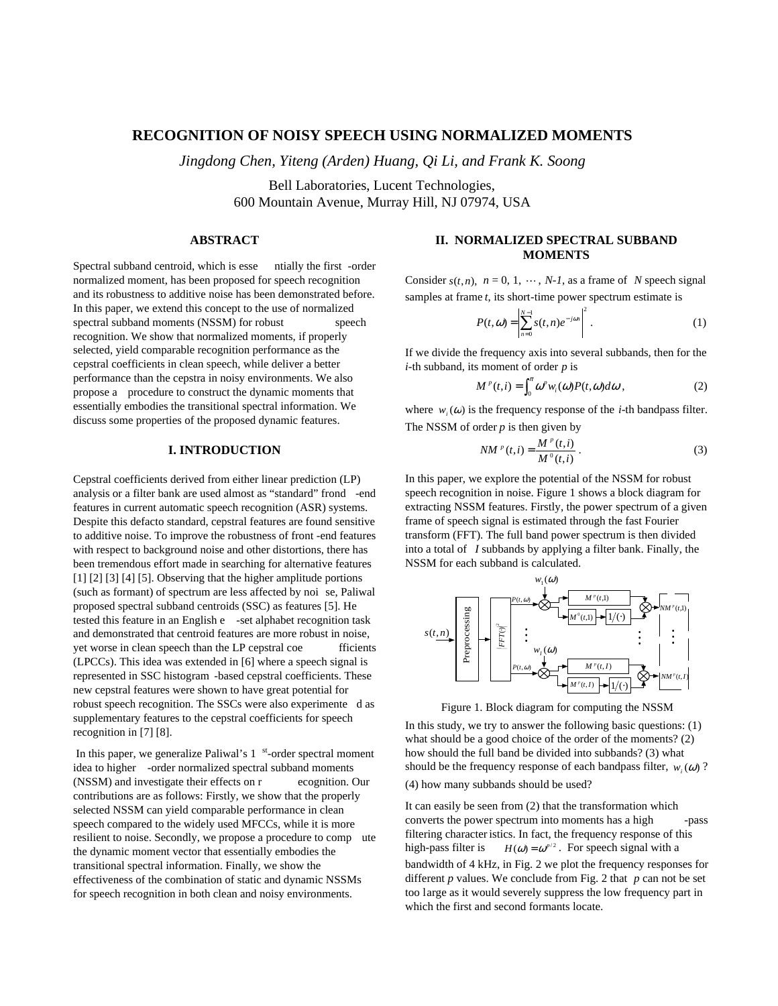# **RECOGNITION OF NOISY SPEECH USING NORMAL IZED MOMENTS**

*Jingdong Chen, Yiteng (Arden) Huang, Qi Li, and Frank K. Soong*

BellLaboratories, Lucent Technologies, 600 Mountain Avenue, Murray Hill, NJ07974, USA

# **ABSTRACT**

Spectral subband centroid, which is esse ntially the first -order normalized moment, has been proposed for speech recognition and its robustness to additive noise has been demonstrated before. In this paper, we extend this concept to the use of normalized spectral subband moments (NSSM) for robust speech recognition. We show that normalized moments, if properly selected, yield comparable recognition performance as the cepstral coefficients in clean speech, while deliver a better performance than the cepstra innoisy environments. We also proposea procedure to construct the dynamic moments that essentially embodies the transitional spectral information. We discuss some properties of the proposed dynamic features.

## **I. INTRODUCTION**

Cepstral coefficients derived from either linear prediction (LP) analysis or a filter bank are used almost as "standard" frond -end featuresincurrent automatic speech recognition (ASR) systems. Despite this defacto standard, cepstral features are found sensitive to additive noise. To improve the robustness of front -end features with respect to background noise and other distortions, there has beentremendous effort made in searching for alternative features [1] [2] [3] [4] [5]. Observing that the higher amplitude portions (such as formant) of spectrum are less affected by noi se, Paliwal proposed spectral subband centroids (SSC) as features [5]. He tested this feature in an Englishe -set alphabet recognition task and demonstrated that centroid features are more robust innoise, yet worse in clean speech than the LP cepstral coe fficients (LPCCs). This idea was extended in [6] where a speech signal is represented in SSC histogram -based cepstral coefficients. These new cepstral features were shown to have great potential for robust speech recognition. The SSCs were also experimente das supplementary features to the cepstral coefficients for speech recognitionin<sup>[7][8]</sup>.

Inthispaper, we generalize Paliwal's 1 st-order spectral moment ideatohigher -order normalized spectral subband moments (NSSM) and investigate their effects on r ecognition. Our contributions are as follows: Firstly, we show that the properly selected NSSM can yield comparable performance in clean speech compared to the widely used MFCCs, while it is more resilient to noise. Secondly, we propose a procedure to compute the dynamic moment vector that essentially embodies the transitional spectral information. Finally, we show the effectiveness of the combination of static and dynamic NSSMs for speech recognition in both clean and noisy environments.

## **II.NORMALIZEDSP ECTRALSUBBAND MOMENTS**

Consider  $s(t, n)$ ,  $n=0,1, \dots, N-1$ , as a frame of *N* speech signal samples at frame *t*, its short -time powers pectrum estimate is

$$
P(t, \omega) = \left| \sum_{n=0}^{N-1} s(t, n) e^{-j\omega n} \right|^2
$$
.(1)

If we divide the frequency axis into several subbands, then for the *i*-th subband, its moment of order *p* is

$$
M^{\nu}(t,i) = \int_0^{\pi} \omega^{\nu} w_i(\omega) P(t,\omega) d\omega , (2)
$$

where  $w_i(\omega)$  is the frequency response of the *i*-th bandpass filter. The NSSM of order *p* is then given by

$$
NM^{\,p}(t,i) = \frac{M^{\,p}(t,i)}{M^{\,0}(t,i)} \, .(3)
$$

In this paper, we explore the potential of the NSSM for robust speech recognition in noise. Figure 1 shows a block diagram for extracting NSSM features. Firstly, the power spectrum of a given frame of speechsignalises timated through the fast Fourier transform(FFT). The full band powers pectrum is then divided into a total of *I* subbands by applying a filter bank. Finally, the NSSM for each subband is calculated.



#### Figure 1. Block diagram for computing the NSSM

In this study, we try to answer the following basic questions: (1) what should be a good choice of the order of the moments? (2) howshould the full band bedivided into subbands? (3) what should be the frequency response of each bandpass filter,  $w_i(\omega)$ ? (4) how many subbands should be used?

It can easily be seen from (2) that the transformation which converts the power spectrum into moments has a high  $-$ pass filtering character istics. In fact, the frequency response of this high-passfilteris  $H(\omega) = \omega^{p/2}$ . For speech signal with a bandwidth of 4 kHz, in Fig. 2 we plot the frequency responses for different *p* values. We conclude from Fig. 2 that *p* cannot be set tool argeasitwouldseverely suppress the low frequency partin which the first and second formants locate.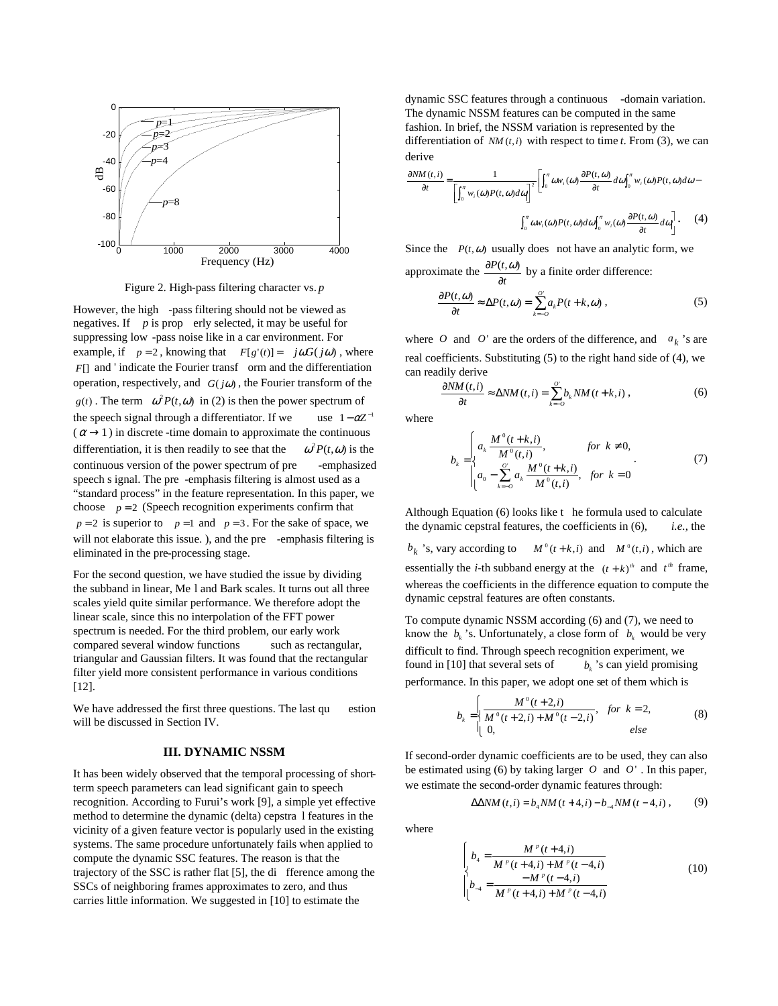

Figure 2. High -pass filtering character vs. *p* 

However, the high -pass filtering should not be viewed as negatives. If *p* is prop erly selected, it may be useful for suppressing low -pass noise like in a care nvironment. For example, if  $p = 2$ , knowing that  $F[g'(t)] = j\omega G(j\omega)$ , where  $F[$ ] and 'indicate the Fourier transf orm and the differentiation operation, respectively, and *G*(*j*ω), the Fourier transform of the  $g(t)$ . The term  $\omega^2 P(t, \omega)$  in (2) is then the power spectrum of the speech signal through a differentiator. If we  $1 - \alpha Z^{-}$  $(\alpha \rightarrow 1)$  indiscrete -time domain to approximate the continuous differentiation, it is then readily to see that the  $\omega^2 P(t, \omega)$  is the continuous version of the power spectrum of pre -emphasized speechs ignal. The pre -emphasis filtering is almost used as a "standard process" in the feature representation. In this paper, we choose  $p = 2$  (Speech recognition experiments confirm that  $p = 2$  is superior to  $p = 1$  and  $p = 3$ . For the sake of space, we will note laborate this issue.), and the pre -emphasis filtering is eliminated in the processing stage.

For the second question, we have studied the issue by dividing the subband in linear, Me land Bark scales. It turns out all three scales yield quite similar performance. We therefore adopt the linearscale, since this no interpolation of the FFT power spectrum is needed. For the third problem, our early work compared several window functions such as rectangular, triangular and Gaussian filters. It was found that the rectangular filter yield more consistent performance invarious conditions [12].

We have addressed the first three questions. The last question estion will be discussed in Section IV.

### **III. DYNAMIC NSSM**

It has been widely observed that the temporal processing of short termspeech parameters can lead significant gain to speech recognition. According to Furui's work [9], a simpley eterffective method to determine the dynamic (delta) cepstra lfeatures in the vicinity of a given feature vector is popularly used in the existing systems. The same procedure unfortunately fails when applied to compute the dynamic SSC features. The reason is that the trajectory of the SSC is rather flat [5], the di fference among the SSCs of neighboring frames approximates to zero, and thus carries little information. We suggested in [10] to estimate the

dynamicSSCfeaturesthrough a continuous -domain variation. The dynamic NSSM features can be computed in the same fashion. In brief, the NSSM variation is represented by the differentiation of  $NM(t, i)$  with respect to time  $t$ . From (3), we can derive

$$
\frac{\partial NM(t,i)}{\partial t} = \frac{1}{\left[\int_0^{\pi} w_i(\omega)P(t,\omega) d\omega\right]^2} \left[\int_0^{\pi} \omega w_i(\omega) \frac{\partial P(t,\omega)}{\partial t} d\omega \int_0^{\pi} w_i(\omega)P(t,\omega) d\omega - \int_0^{\pi} \omega w_i(\omega)P(t,\omega) d\omega \right]^2
$$
\n
$$
\int_0^{\pi} \omega w_i(\omega)P(t,\omega) d\omega \int_0^{\pi} w_i(\omega) \frac{\partial P(t,\omega)}{\partial t} d\omega \Big| \cdot \quad (4)
$$

Since the  $P(t, \omega)$  usually does not have an analytic form, we approximate the  $\frac{d\mathbf{r}(t)}{dt}$ *P t* ∂  $\frac{\partial P(t, \omega)}{\partial \omega}$  by a finite order difference:  $\frac{\partial}{\partial t}$   $\approx \Delta P(t, \omega) = \sum_{k=-\infty} a_k P(t + \omega)$  $\frac{\partial P(t, \omega)}{\partial \omega} \approx \Delta P(t, \omega) = \sum_{k=0}^{\infty} a_k P(t + k, \omega)$  $\frac{d}{dt} \approx \Delta P(t, \omega) = \sum_{k=-0} a_k P(t+k)$  $\frac{P(t, \omega)}{P} \approx \Delta P(t, \omega) = \sum_{l=0}^{N} a_{l} P(t + k, \omega)$ , (5)

where *O* and *O*' are the orders of the difference, and  $a_k$ 's are real coefficients. Substituting (5) to the right hand side of (4), we can readily derive

$$
\frac{\partial NM(t,i)}{\partial t} \approx \Delta NM(t,i) = \sum_{k=-0}^{0'} b_k NM(t+k,i)
$$
, (6)

where

$$
b_{k} = \begin{cases} a_{k} \frac{M^{0}(t+k,i)}{M^{0}(t,i)}, & \text{for } k \neq 0, \\ a_{0} - \sum_{k=-0}^{0} a_{k} \frac{M^{0}(t+k,i)}{M^{0}(t,i)}, & \text{for } k = 0 \end{cases}
$$
 (7)

Although Equation (6) looks like the formula used to calculate the dynamic cepstral features, the coefficients in (6), *i.e.*, the

 $b_k$ 's, vary according to  $M^0(t+k, i)$  $M^0(t+k,i)$  and  $M^0(t,i)$ , which are essentially the *i*-th subband energy at the  $(t + k)^n$  and  $t^m$  frame, whereas the coefficients in the difference equation to compute the dynamiccepstralfeatures are often constants.

To computedynamic NSSM according (6) and (7), we need to know the  $b_k$ 's. Unfortunately, a close form of  $b_k$  $b_k$  would be very difficult to find. Through speech recognition experiment, we found in [10] that several sets of *b<sup>k</sup>*  $b_k$ 's can yield promising performance. In this paper, we adoptones et of them which is

$$
b_k = \begin{cases} \frac{M^0(t+2,i)}{M^0(t+2,i)+M^0(t-2,i)}, & \text{for } k = 2, \ (8) \\ 0, & \text{else} \end{cases}
$$

If second -order dynamic coefficients are to be used, they can also be estimated using (6) by taking larger  $O$  and  $O'$ . In this paper, we estimate the second-order dynamic features through:

$$
\Delta\Delta NM(t, i) = b_{4}NM(t + 4, i) - b_{-4}NM(t - 4, i), (9)
$$

where

$$
\begin{cases}\nb_4 = \frac{M^{\,p}(t+4,i)}{M^{\,p}(t+4,i) + M^{\,p}(t-4,i)} \\
b_{-4} = \frac{-M^{\,p}(t-4,i)}{M^{\,p}(t+4,i) + M^{\,p}(t-4,i)}\n\end{cases}
$$
\n(10)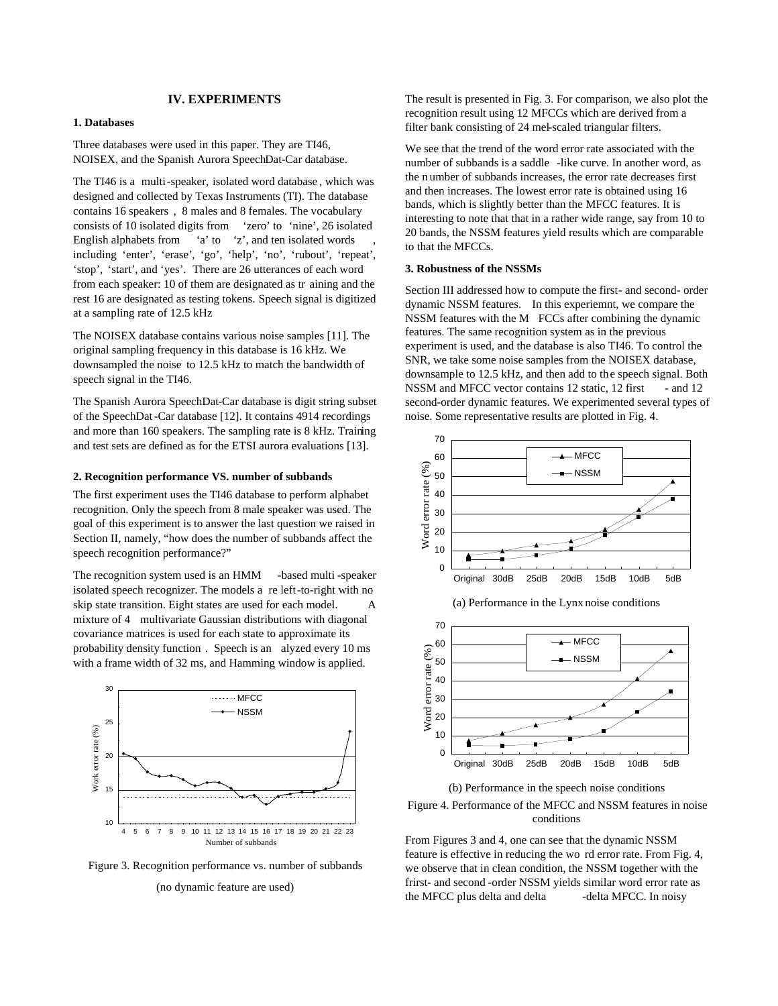### **IV. EXPERIMENTS**

## **1. Databases**

Threedatabases were used in this paper. They are TI46, NOISEX, and the Spanish Aurora Speech Dat-Cardatabase.

The TI46 is a multi -speaker, isolated word database, which was designed and collected by Texas Instruments (TI). The database contains 16 speakers, 8 males and 8 females. The vocabulary consists of 10 isolated digits from 'zero' to 'nine', 26 isolated Englishalphabets from 'a' to 'z', and ten isolated words including 'enter', 'erase', 'go', 'help', 'no', 'rubout', 'repeat', 'stop', 'start', and 'yes'. There are 26 utterances of each word from each speaker: 10 of the mare designated as training and the training and the rest16 are designated as testing to kens. Speech signal is digitized at a sampling rate of 12.5 kHz

The NOISEX database contains various noise samples [11]. The original sampling frequency in this database is 16 kHz. We downsampled the noise to 12.5 kHz to match the bandwidth of speechsignal in the TI46.

The Spanish Aurora Speech Dat - Cardatabase is digit string subset of the SpeechDat -Cardatabase [12]. It contains 4914 recordings and more than 160 speakers. The sampling rate is 8 kHz. Train ing and tests ets are defined as for the ETSI aurora evaluations [13].

#### **2. Recognition performance VS. number of subbands**

The first experiment uses the TI46 database to performal phabet recognition. Only the speech from 8 male speaker was used. The goal of this experiment is to answer the last question we raised in SectionII, namely, "how does the number of subbands affect the speech recognition performance?"

The recognition systemused is an HMM -based multi-speaker isolated speech recognizer. The models a releft -to-right with no skip state transition. Eight states are used for each model. A mixture of 4 multivariate Gaussian distributions with diagonal covariance matrices is used for each state to approximate its probability density function . Speechis and alyzed every 10 ms with a framewidth of 32 ms, and Hamming window is applied.



Figure 3. Recognition performance vs. number of subbands

(nodynamic feature are used)

The result is presented in Fig. 3. For comparison, we also plot the recognition result using 12MFCCs which are derived from a filterbank consisting of 24 mel -scaled triangular filters.

We see that the trend of the word error rate associated with the number of subbands is a saddle -like curve. In another word, as then umberof subbands increases, the error rated ecreases first and then increases. The lowest error rate is obtained using 16 bands, which is slightly better than the MFCC features. It is interesting to note that that in a rather wide range, say from 10 to 20 bands, the NSSM features yield results which are comparable to that the MFCCs.

### **3. Robustness of the NSSMs**

SectionIIIaddressedhowtocomputethefirst -and second -order dynamic NSSM features. In this experiemnt, we compare the NSSM features with the M FCCs after combining the dynamic features. The same recognition system as in the previous experimentisused, and the database is also TI46. To control the SNR, we take some noise samples from the NOISEX database, downsampleto 12.5 kHz, and then add to the speech signal. Both NSSM and MFCC vector contains 12 static, 12 first -and 12 second-order dynamic features. We experimented several types of noise. Somerepresentative results are plotted in Fig. 4.



(a) Performance in the Lynx noise conditions



(b) Performance in the speech noise conditions

## Figure 4. Performance of the MFCC and NSSM features innoise conditions

From Figures 3 and 4, one can see that the dynamic NSSM feature is effective in reducing the word reducing the room Fig. 4, we observe that inclean condition, the NSSM to gether with the frirst-andsecond -order NSSM yields similar worder rorrate as the MFCC plus delta and delta -delta MFCC. Innoisy